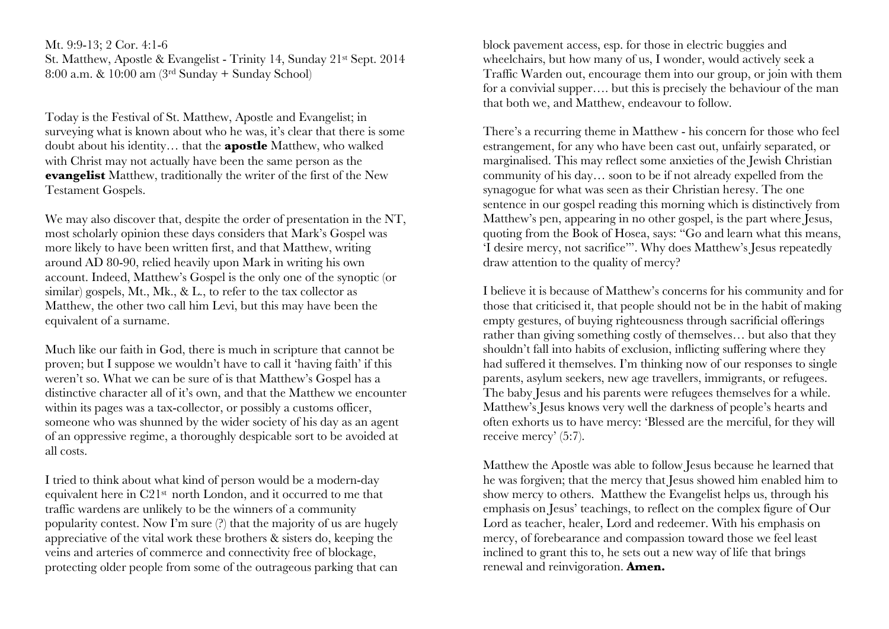Mt. 9:9-13; 2 Cor. 4:1-6 St. Matthew, Apostle & Evangelist - Trinity 14, Sunday 21st Sept. 2014 8:00 a.m. & 10:00 am (3rd Sunday + Sunday School)

Today is the Festival of St. Matthew, Apostle and Evangelist; in surveying what is known about who he was, it's clear that there is some doubt about his identity… that the **apostle** Matthew, who walked with Christ may not actually have been the same person as the **evangelist** Matthew, traditionally the writer of the first of the New Testament Gospels.

We may also discover that, despite the order of presentation in the NT, most scholarly opinion these days considers that Mark's Gospel was more likely to have been written first, and that Matthew, writing around AD 80-90, relied heavily upon Mark in writing his own account. Indeed, Matthew's Gospel is the only one of the synoptic (or similar) gospels, Mt., Mk., & L., to refer to the tax collector as Matthew, the other two call him Levi, but this may have been the equivalent of a surname.

Much like our faith in God, there is much in scripture that cannot be proven; but I suppose we wouldn't have to call it 'having faith' if this weren't so. What we can be sure of is that Matthew's Gospel has a distinctive character all of it's own, and that the Matthew we encounter within its pages was a tax-collector, or possibly a customs officer, someone who was shunned by the wider society of his day as an agent of an oppressive regime, a thoroughly despicable sort to be avoided at all costs.

I tried to think about what kind of person would be a modern-day equivalent here in C21st north London, and it occurred to me that traffic wardens are unlikely to be the winners of a community popularity contest. Now I'm sure (?) that the majority of us are hugely appreciative of the vital work these brothers & sisters do, keeping the veins and arteries of commerce and connectivity free of blockage, protecting older people from some of the outrageous parking that can block pavement access, esp. for those in electric buggies and wheelchairs, but how many of us, I wonder, would actively seek a Traffic Warden out, encourage them into our group, or join with them for a convivial supper…. but this is precisely the behaviour of the man that both we, and Matthew, endeavour to follow.

There's a recurring theme in Matthew - his concern for those who feel estrangement, for any who have been cast out, unfairly separated, or marginalised. This may reflect some anxieties of the Jewish Christian community of his day… soon to be if not already expelled from the synagogue for what was seen as their Christian heresy. The one sentence in our gospel reading this morning which is distinctively from Matthew's pen, appearing in no other gospel, is the part where Jesus, quoting from the Book of Hosea, says: "Go and learn what this means, 'I desire mercy, not sacrifice'". Why does Matthew's Jesus repeatedly draw attention to the quality of mercy?

I believe it is because of Matthew's concerns for his community and for those that criticised it, that people should not be in the habit of making empty gestures, of buying righteousness through sacrificial offerings rather than giving something costly of themselves… but also that they shouldn't fall into habits of exclusion, inflicting suffering where they had suffered it themselves. I'm thinking now of our responses to single parents, asylum seekers, new age travellers, immigrants, or refugees. The baby Jesus and his parents were refugees themselves for a while. Matthew's Jesus knows very well the darkness of people's hearts and often exhorts us to have mercy: 'Blessed are the merciful, for they will receive mercy' (5:7).

Matthew the Apostle was able to follow Jesus because he learned that he was forgiven; that the mercy that Jesus showed him enabled him to show mercy to others. Matthew the Evangelist helps us, through his emphasis on Jesus' teachings, to reflect on the complex figure of Our Lord as teacher, healer, Lord and redeemer. With his emphasis on mercy, of forebearance and compassion toward those we feel least inclined to grant this to, he sets out a new way of life that brings renewal and reinvigoration. **Amen.**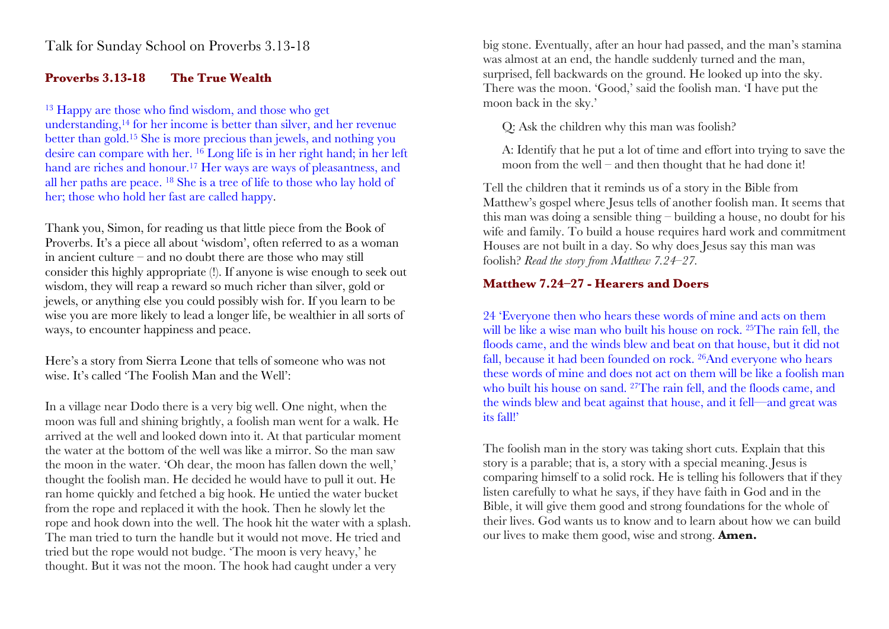### **Proverbs 3.13-18 The True Wealth**

<sup>13</sup> Happy are those who find wisdom, and those who get understanding,14 for her income is better than silver, and her revenue better than gold.15 She is more precious than jewels, and nothing you desire can compare with her. 16 Long life is in her right hand; in her left hand are riches and honour.<sup>17</sup> Her ways are ways of pleasantness, and all her paths are peace. 18 She is a tree of life to those who lay hold of her; those who hold her fast are called happy.

Thank you, Simon, for reading us that little piece from the Book of Proverbs. It's a piece all about 'wisdom', often referred to as a woman in ancient culture – and no doubt there are those who may still consider this highly appropriate (!). If anyone is wise enough to seek out wisdom, they will reap a reward so much richer than silver, gold or jewels, or anything else you could possibly wish for. If you learn to be wise you are more likely to lead a longer life, be wealthier in all sorts of ways, to encounter happiness and peace.

Here's a story from Sierra Leone that tells of someone who was not wise. It's called 'The Foolish Man and the Well':

In a village near Dodo there is a very big well. One night, when the moon was full and shining brightly, a foolish man went for a walk. He arrived at the well and looked down into it. At that particular moment the water at the bottom of the well was like a mirror. So the man saw the moon in the water. 'Oh dear, the moon has fallen down the well,' thought the foolish man. He decided he would have to pull it out. He ran home quickly and fetched a big hook. He untied the water bucket from the rope and replaced it with the hook. Then he slowly let the rope and hook down into the well. The hook hit the water with a splash. The man tried to turn the handle but it would not move. He tried and tried but the rope would not budge. 'The moon is very heavy,' he thought. But it was not the moon. The hook had caught under a very

big stone. Eventually, after an hour had passed, and the man's stamina was almost at an end, the handle suddenly turned and the man, surprised, fell backwards on the ground. He looked up into the sky. There was the moon. 'Good,' said the foolish man. 'I have put the moon back in the sky.'

Q: Ask the children why this man was foolish?

A: Identify that he put a lot of time and effort into trying to save the moon from the well – and then thought that he had done it!

Tell the children that it reminds us of a story in the Bible from Matthew's gospel where Jesus tells of another foolish man. It seems that this man was doing a sensible thing – building a house, no doubt for his wife and family. To build a house requires hard work and commitment. Houses are not built in a day. So why does Jesus say this man was foolish? *Read the story from Matthew 7.24–27.*

# **Matthew 7.24–27 - Hearers and Doers**

24 'Everyone then who hears these words of mine and acts on them will be like a wise man who built his house on rock. <sup>25</sup>The rain fell, the floods came, and the winds blew and beat on that house, but it did not fall, because it had been founded on rock. 26And everyone who hears these words of mine and does not act on them will be like a foolish man who built his house on sand. <sup>27</sup>The rain fell, and the floods came, and the winds blew and beat against that house, and it fell—and great was its fall!'

The foolish man in the story was taking short cuts. Explain that this story is a parable; that is, a story with a special meaning. Jesus is comparing himself to a solid rock. He is telling his followers that if they listen carefully to what he says, if they have faith in God and in the Bible, it will give them good and strong foundations for the whole of their lives. God wants us to know and to learn about how we can build our lives to make them good, wise and strong. **Amen.**